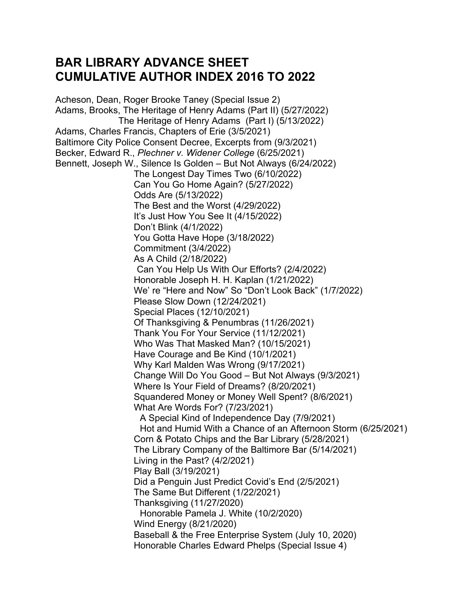## **BAR LIBRARY ADVANCE SHEET CUMULATIVE AUTHOR INDEX 2016 TO 2022**

Acheson, Dean, Roger Brooke Taney (Special Issue 2) Adams, Brooks, The Heritage of Henry Adams (Part II) (5/27/2022) The Heritage of Henry Adams (Part I) (5/13/2022) Adams, Charles Francis, Chapters of Erie (3/5/2021) Baltimore City Police Consent Decree, Excerpts from (9/3/2021) Becker, Edward R., *Plechner v. Widener College* (6/25/2021) Bennett, Joseph W., Silence Is Golden – But Not Always (6/24/2022) The Longest Day Times Two (6/10/2022) Can You Go Home Again? (5/27/2022) Odds Are (5/13/2022) The Best and the Worst (4/29/2022) It's Just How You See It (4/15/2022) Don't Blink (4/1/2022) You Gotta Have Hope (3/18/2022) Commitment (3/4/2022) As A Child (2/18/2022) Can You Help Us With Our Efforts? (2/4/2022) Honorable Joseph H. H. Kaplan (1/21/2022) We' re "Here and Now" So "Don't Look Back" (1/7/2022) Please Slow Down (12/24/2021) Special Places (12/10/2021) Of Thanksgiving & Penumbras (11/26/2021) Thank You For Your Service (11/12/2021) Who Was That Masked Man? (10/15/2021) Have Courage and Be Kind (10/1/2021) Why Karl Malden Was Wrong (9/17/2021) Change Will Do You Good – But Not Always (9/3/2021) Where Is Your Field of Dreams? (8/20/2021) Squandered Money or Money Well Spent? (8/6/2021) What Are Words For? (7/23/2021) A Special Kind of Independence Day (7/9/2021) Hot and Humid With a Chance of an Afternoon Storm (6/25/2021) Corn & Potato Chips and the Bar Library (5/28/2021) The Library Company of the Baltimore Bar (5/14/2021) Living in the Past? (4/2/2021) Play Ball (3/19/2021) Did a Penguin Just Predict Covid's End (2/5/2021) The Same But Different (1/22/2021) Thanksgiving (11/27/2020) Honorable Pamela J. White (10/2/2020) Wind Energy (8/21/2020) Baseball & the Free Enterprise System (July 10, 2020) Honorable Charles Edward Phelps (Special Issue 4)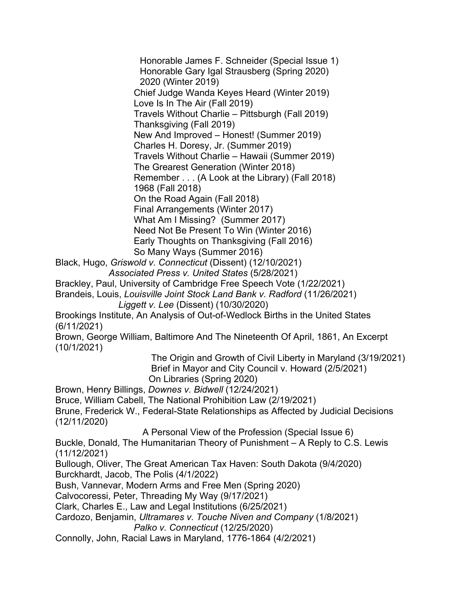Honorable James F. Schneider (Special Issue 1) Honorable Gary Igal Strausberg (Spring 2020) 2020 (Winter 2019) Chief Judge Wanda Keyes Heard (Winter 2019) Love Is In The Air (Fall 2019) Travels Without Charlie – Pittsburgh (Fall 2019) Thanksgiving (Fall 2019) New And Improved – Honest! (Summer 2019) Charles H. Doresy, Jr. (Summer 2019) Travels Without Charlie – Hawaii (Summer 2019) The Grearest Generation (Winter 2018) Remember . . . (A Look at the Library) (Fall 2018) 1968 (Fall 2018) On the Road Again (Fall 2018) Final Arrangements (Winter 2017) What Am I Missing? (Summer 2017) Need Not Be Present To Win (Winter 2016) Early Thoughts on Thanksgiving (Fall 2016) So Many Ways (Summer 2016)

Black, Hugo, *Griswold v. Connecticut* (Dissent) (12/10/2021) *Associated Press v. United States* (5/28/2021)

- Brackley, Paul, University of Cambridge Free Speech Vote (1/22/2021)
- Brandeis, Louis, *Louisville Joint Stock Land Bank v. Radford* (11/26/2021)  *Liggett v. Lee* (Dissent) (10/30/2020)

Brookings Institute, An Analysis of Out-of-Wedlock Births in the United States (6/11/2021)

Brown, George William, Baltimore And The Nineteenth Of April, 1861, An Excerpt (10/1/2021)

> The Origin and Growth of Civil Liberty in Maryland (3/19/2021) Brief in Mayor and City Council v. Howard (2/5/2021) On Libraries (Spring 2020)

Brown, Henry Billings, *Downes v. Bidwell* (12/24/2021)

Bruce, William Cabell, The National Prohibition Law (2/19/2021)

Brune, Frederick W., Federal-State Relationships as Affected by Judicial Decisions (12/11/2020)

A Personal View of the Profession (Special Issue 6)

Buckle, Donald, The Humanitarian Theory of Punishment – A Reply to C.S. Lewis (11/12/2021)

Bullough, Oliver, The Great American Tax Haven: South Dakota (9/4/2020)

Burckhardt, Jacob, The Polis (4/1/2022)

Bush, Vannevar, Modern Arms and Free Men (Spring 2020)

Calvocoressi, Peter, Threading My Way (9/17/2021)

Clark, Charles E., Law and Legal Institutions (6/25/2021)

Cardozo, Benjamin, *Ultramares v. Touche Niven and Company* (1/8/2021)

 *Palko v. Connecticut* (12/25/2020)

Connolly, John, Racial Laws in Maryland, 1776-1864 (4/2/2021)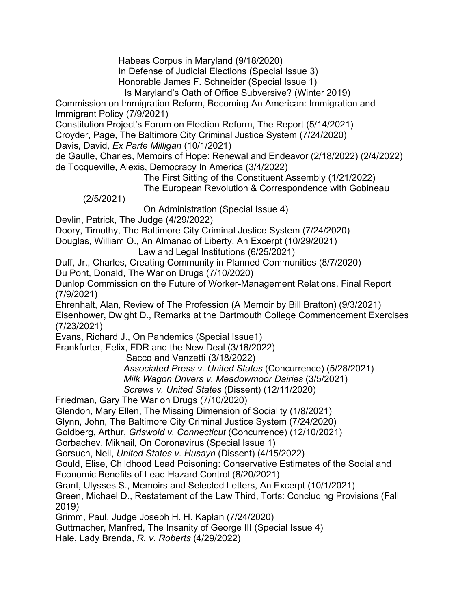Habeas Corpus in Maryland (9/18/2020)

In Defense of Judicial Elections (Special Issue 3)

Honorable James F. Schneider (Special Issue 1)

Is Maryland's Oath of Office Subversive? (Winter 2019)

Commission on Immigration Reform, Becoming An American: Immigration and Immigrant Policy (7/9/2021)

Constitution Project's Forum on Election Reform, The Report (5/14/2021)

Croyder, Page, The Baltimore City Criminal Justice System (7/24/2020)

Davis, David, *Ex Parte Milligan* (10/1/2021)

de Gaulle, Charles, Memoirs of Hope: Renewal and Endeavor (2/18/2022) (2/4/2022) de Tocqueville, Alexis, Democracy In America (3/4/2022)

The First Sitting of the Constituent Assembly (1/21/2022)

The European Revolution & Correspondence with Gobineau

(2/5/2021)

On Administration (Special Issue 4)

Devlin, Patrick, The Judge (4/29/2022)

Doory, Timothy, The Baltimore City Criminal Justice System (7/24/2020)

Douglas, William O., An Almanac of Liberty, An Excerpt (10/29/2021)

Law and Legal Institutions (6/25/2021)

Duff, Jr., Charles, Creating Community in Planned Communities (8/7/2020)

Du Pont, Donald, The War on Drugs (7/10/2020)

Dunlop Commission on the Future of Worker-Management Relations, Final Report (7/9/2021)

Ehrenhalt, Alan, Review of The Profession (A Memoir by Bill Bratton) (9/3/2021) Eisenhower, Dwight D., Remarks at the Dartmouth College Commencement Exercises (7/23/2021)

Evans, Richard J., On Pandemics (Special Issue1)

Frankfurter, Felix, FDR and the New Deal (3/18/2022)

Sacco and Vanzetti (3/18/2022)

 *Associated Press v. United States* (Concurrence) (5/28/2021)  *Milk Wagon Drivers v. Meadowmoor Dairies* (3/5/2021)  *Screws v. United States* (Dissent) (12/11/2020)

Friedman, Gary The War on Drugs (7/10/2020)

Glendon, Mary Ellen, The Missing Dimension of Sociality (1/8/2021)

Glynn, John, The Baltimore City Criminal Justice System (7/24/2020)

Goldberg, Arthur, *Griswold v. Connecticut* (Concurrence) (12/10/2021)

Gorbachev, Mikhail, On Coronavirus (Special Issue 1)

Gorsuch, Neil, *United States v. Husayn* (Dissent) (4/15/2022)

Gould, Elise, Childhood Lead Poisoning: Conservative Estimates of the Social and Economic Benefits of Lead Hazard Control (8/20/2021)

Grant, Ulysses S., Memoirs and Selected Letters, An Excerpt (10/1/2021)

Green, Michael D., Restatement of the Law Third, Torts: Concluding Provisions (Fall 2019)

Grimm, Paul, Judge Joseph H. H. Kaplan (7/24/2020)

Guttmacher, Manfred, The Insanity of George III (Special Issue 4)

Hale, Lady Brenda, *R. v. Roberts* (4/29/2022)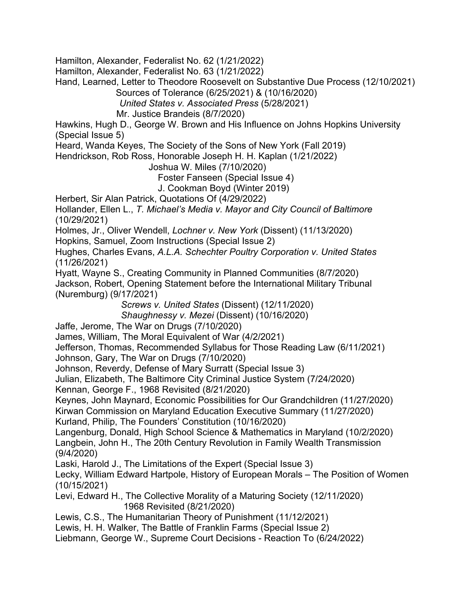Hamilton, Alexander, Federalist No. 62 (1/21/2022)

Hamilton, Alexander, Federalist No. 63 (1/21/2022)

Hand, Learned, Letter to Theodore Roosevelt on Substantive Due Process (12/10/2021) Sources of Tolerance (6/25/2021) & (10/16/2020)

 *United States v. Associated Press* (5/28/2021)

Mr. Justice Brandeis (8/7/2020)

Hawkins, Hugh D., George W. Brown and His Influence on Johns Hopkins University (Special Issue 5)

Heard, Wanda Keyes, The Society of the Sons of New York (Fall 2019)

Hendrickson, Rob Ross, Honorable Joseph H. H. Kaplan (1/21/2022)

Joshua W. Miles (7/10/2020)

Foster Fanseen (Special Issue 4)

J. Cookman Boyd (Winter 2019)

Herbert, Sir Alan Patrick, Quotations Of (4/29/2022)

Hollander, Ellen L., *T. Michael's Media v. Mayor and City Council of Baltimore* (10/29/2021)

Holmes, Jr., Oliver Wendell, *Lochner v. New York* (Dissent) (11/13/2020)

Hopkins, Samuel, Zoom Instructions (Special Issue 2)

Hughes, Charles Evans, *A.L.A. Schechter Poultry Corporation v. United States* (11/26/2021)

Hyatt, Wayne S., Creating Community in Planned Communities (8/7/2020) Jackson, Robert, Opening Statement before the International Military Tribunal (Nuremburg) (9/17/2021)

 *Screws v. United States* (Dissent) (12/11/2020)

 *Shaughnessy v. Mezei* (Dissent) (10/16/2020)

Jaffe, Jerome, The War on Drugs (7/10/2020)

James, William, The Moral Equivalent of War (4/2/2021)

Jefferson, Thomas, Recommended Syllabus for Those Reading Law (6/11/2021) Johnson, Gary, The War on Drugs (7/10/2020)

Johnson, Reverdy, Defense of Mary Surratt (Special Issue 3)

Julian, Elizabeth, The Baltimore City Criminal Justice System (7/24/2020)

Kennan, George F., 1968 Revisited (8/21/2020)

Keynes, John Maynard, Economic Possibilities for Our Grandchildren (11/27/2020) Kirwan Commission on Maryland Education Executive Summary (11/27/2020)

Kurland, Philip, The Founders' Constitution (10/16/2020)

Langenburg, Donald, High School Science & Mathematics in Maryland (10/2/2020) Langbein, John H., The 20th Century Revolution in Family Wealth Transmission (9/4/2020)

Laski, Harold J., The Limitations of the Expert (Special Issue 3)

Lecky, William Edward Hartpole, History of European Morals – The Position of Women (10/15/2021)

Levi, Edward H., The Collective Morality of a Maturing Society (12/11/2020) 1968 Revisited (8/21/2020)

Lewis, C.S., The Humanitarian Theory of Punishment (11/12/2021)

Lewis, H. H. Walker, The Battle of Franklin Farms (Special Issue 2)

Liebmann, George W., Supreme Court Decisions - Reaction To (6/24/2022)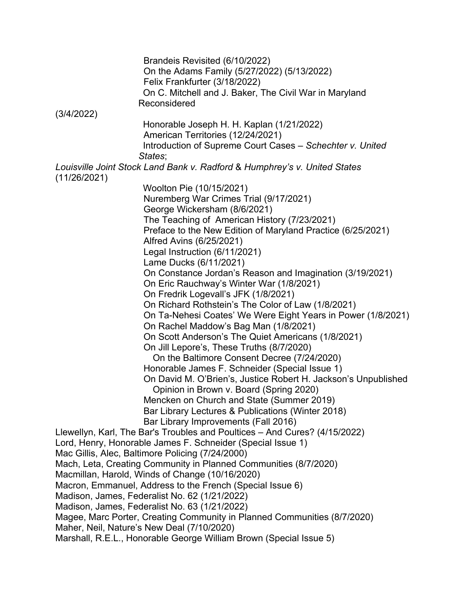Brandeis Revisited (6/10/2022) On the Adams Family (5/27/2022) (5/13/2022) Felix Frankfurter (3/18/2022) On C. Mitchell and J. Baker, The Civil War in Maryland Reconsidered (3/4/2022) Honorable Joseph H. H. Kaplan (1/21/2022) American Territories (12/24/2021) Introduction of Supreme Court Cases – *Schechter v. United States*; *Louisville Joint Stock Land Bank v. Radford* & *Humphrey's v. United States* (11/26/2021) Woolton Pie (10/15/2021) Nuremberg War Crimes Trial (9/17/2021) George Wickersham (8/6/2021) The Teaching of American History (7/23/2021) Preface to the New Edition of Maryland Practice (6/25/2021) Alfred Avins (6/25/2021) Legal Instruction (6/11/2021) Lame Ducks (6/11/2021) On Constance Jordan's Reason and Imagination (3/19/2021) On Eric Rauchway's Winter War (1/8/2021) On Fredrik Logevall's JFK (1/8/2021) On Richard Rothstein's The Color of Law (1/8/2021) On Ta-Nehesi Coates' We Were Eight Years in Power (1/8/2021) On Rachel Maddow's Bag Man (1/8/2021) On Scott Anderson's The Quiet Americans (1/8/2021) On Jill Lepore's, These Truths (8/7/2020) On the Baltimore Consent Decree (7/24/2020) Honorable James F. Schneider (Special Issue 1) On David M. O'Brien's, Justice Robert H. Jackson's Unpublished Opinion in Brown v. Board (Spring 2020) Mencken on Church and State (Summer 2019) Bar Library Lectures & Publications (Winter 2018) Bar Library Improvements (Fall 2016) Llewellyn, Karl, The Bar's Troubles and Poultices – And Cures? (4/15/2022) Lord, Henry, Honorable James F. Schneider (Special Issue 1) Mac Gillis, Alec, Baltimore Policing (7/24/2000) Mach, Leta, Creating Community in Planned Communities (8/7/2020) Macmillan, Harold, Winds of Change (10/16/2020) Macron, Emmanuel, Address to the French (Special Issue 6) Madison, James, Federalist No. 62 (1/21/2022) Madison, James, Federalist No. 63 (1/21/2022) Magee, Marc Porter, Creating Community in Planned Communities (8/7/2020) Maher, Neil, Nature's New Deal (7/10/2020) Marshall, R.E.L., Honorable George William Brown (Special Issue 5)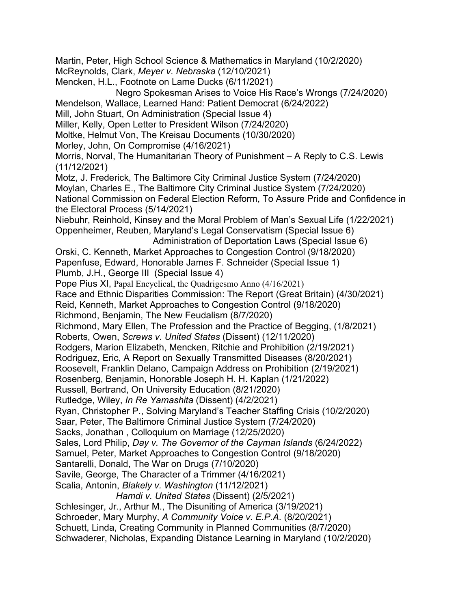Martin, Peter, High School Science & Mathematics in Maryland (10/2/2020) McReynolds, Clark, *Meyer v. Nebraska* (12/10/2021) Mencken, H.L., Footnote on Lame Ducks (6/11/2021) Negro Spokesman Arises to Voice His Race's Wrongs (7/24/2020) Mendelson, Wallace, Learned Hand: Patient Democrat (6/24/2022) Mill, John Stuart, On Administration (Special Issue 4) Miller, Kelly, Open Letter to President Wilson (7/24/2020) Moltke, Helmut Von, The Kreisau Documents (10/30/2020) Morley, John, On Compromise (4/16/2021) Morris, Norval, The Humanitarian Theory of Punishment – A Reply to C.S. Lewis (11/12/2021) Motz, J. Frederick, The Baltimore City Criminal Justice System (7/24/2020) Moylan, Charles E., The Baltimore City Criminal Justice System (7/24/2020) National Commission on Federal Election Reform, To Assure Pride and Confidence in the Electoral Process (5/14/2021) Niebuhr, Reinhold, Kinsey and the Moral Problem of Man's Sexual Life (1/22/2021) Oppenheimer, Reuben, Maryland's Legal Conservatism (Special Issue 6) Administration of Deportation Laws (Special Issue 6) Orski, C. Kenneth, Market Approaches to Congestion Control (9/18/2020) Papenfuse, Edward, Honorable James F. Schneider (Special Issue 1) Plumb, J.H., George III (Special Issue 4) Pope Pius XI, Papal Encyclical, the Quadrigesmo Anno (4/16/2021) Race and Ethnic Disparities Commission: The Report (Great Britain) (4/30/2021) Reid, Kenneth, Market Approaches to Congestion Control (9/18/2020) Richmond, Benjamin, The New Feudalism (8/7/2020) Richmond, Mary Ellen, The Profession and the Practice of Begging, (1/8/2021) Roberts, Owen, *Screws v. United States* (Dissent) (12/11/2020) Rodgers, Marion Elizabeth, Mencken, Ritchie and Prohibition (2/19/2021) Rodriguez, Eric, A Report on Sexually Transmitted Diseases (8/20/2021) Roosevelt, Franklin Delano, Campaign Address on Prohibition (2/19/2021) Rosenberg, Benjamin, Honorable Joseph H. H. Kaplan (1/21/2022) Russell, Bertrand, On University Education (8/21/2020) Rutledge, Wiley, *In Re Yamashita* (Dissent) (4/2/2021) Ryan, Christopher P., Solving Maryland's Teacher Staffing Crisis (10/2/2020) Saar, Peter, The Baltimore Criminal Justice System (7/24/2020) Sacks, Jonathan , Colloquium on Marriage (12/25/2020) Sales, Lord Philip, *Day v. The Governor of the Cayman Islands* (6/24/2022) Samuel, Peter, Market Approaches to Congestion Control (9/18/2020) Santarelli, Donald, The War on Drugs (7/10/2020) Savile, George, The Character of a Trimmer (4/16/2021) Scalia, Antonin, *Blakely v. Washington* (11/12/2021)  *Hamdi v. United States* (Dissent) (2/5/2021) Schlesinger, Jr., Arthur M., The Disuniting of America (3/19/2021) Schroeder, Mary Murphy, *A Community Voice v. E.P.A.* (8/20/2021) Schuett, Linda, Creating Community in Planned Communities (8/7/2020) Schwaderer, Nicholas, Expanding Distance Learning in Maryland (10/2/2020)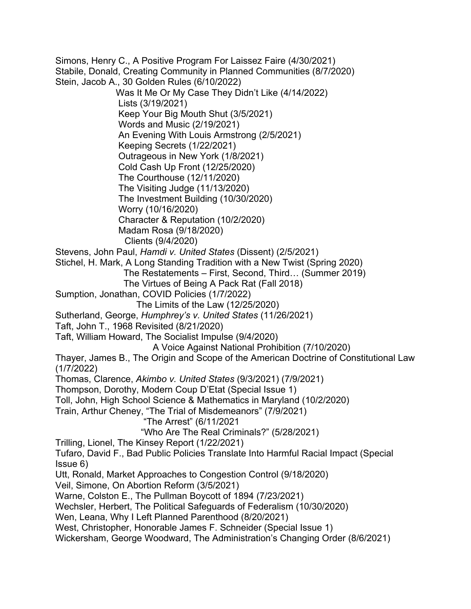Simons, Henry C., A Positive Program For Laissez Faire (4/30/2021) Stabile, Donald, Creating Community in Planned Communities (8/7/2020) Stein, Jacob A., 30 Golden Rules (6/10/2022) Was It Me Or My Case They Didn't Like (4/14/2022) Lists (3/19/2021) Keep Your Big Mouth Shut (3/5/2021) Words and Music (2/19/2021) An Evening With Louis Armstrong (2/5/2021) Keeping Secrets (1/22/2021) Outrageous in New York (1/8/2021) Cold Cash Up Front (12/25/2020) The Courthouse (12/11/2020) The Visiting Judge (11/13/2020) The Investment Building (10/30/2020) Worry (10/16/2020) Character & Reputation (10/2/2020) Madam Rosa (9/18/2020) Clients (9/4/2020) Stevens, John Paul, *Hamdi v. United States* (Dissent) (2/5/2021) Stichel, H. Mark, A Long Standing Tradition with a New Twist (Spring 2020) The Restatements – First, Second, Third… (Summer 2019) The Virtues of Being A Pack Rat (Fall 2018) Sumption, Jonathan, COVID Policies (1/7/2022) The Limits of the Law (12/25/2020) Sutherland, George, *Humphrey's v. United States* (11/26/2021) Taft, John T., 1968 Revisited (8/21/2020) Taft, William Howard, The Socialist Impulse (9/4/2020) A Voice Against National Prohibition (7/10/2020) Thayer, James B., The Origin and Scope of the American Doctrine of Constitutional Law (1/7/2022) Thomas, Clarence, *Akimbo v. United States* (9/3/2021) (7/9/2021) Thompson, Dorothy, Modern Coup D'Etat (Special Issue 1) Toll, John, High School Science & Mathematics in Maryland (10/2/2020) Train, Arthur Cheney, "The Trial of Misdemeanors" (7/9/2021) "The Arrest" (6/11/2021 "Who Are The Real Criminals?" (5/28/2021) Trilling, Lionel, The Kinsey Report (1/22/2021) Tufaro, David F., Bad Public Policies Translate Into Harmful Racial Impact (Special Issue 6) Utt, Ronald, Market Approaches to Congestion Control (9/18/2020) Veil, Simone, On Abortion Reform (3/5/2021) Warne, Colston E., The Pullman Boycott of 1894 (7/23/2021) Wechsler, Herbert, The Political Safeguards of Federalism (10/30/2020) Wen, Leana, Why I Left Planned Parenthood (8/20/2021) West, Christopher, Honorable James F. Schneider (Special Issue 1) Wickersham, George Woodward, The Administration's Changing Order (8/6/2021)